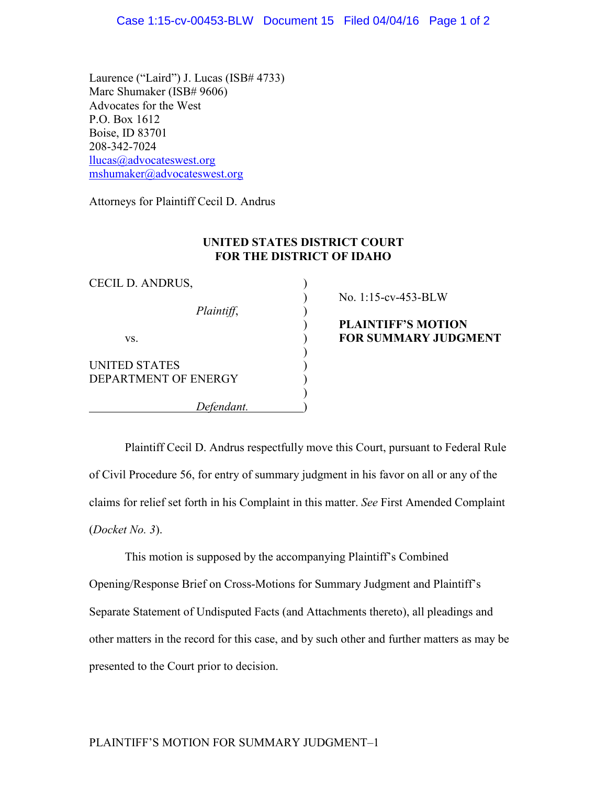Laurence ("Laird") J. Lucas (ISB# 4733) Marc Shumaker (ISB# 9606) Advocates for the West P.O. Box 1612 Boise, ID 83701 208-342-7024 [llucas@advocateswest.org](mailto:llucas@advocateswest.org) [mshumaker@advocateswest.org](mailto:mshumaker@advocateswest.org)

Attorneys for Plaintiff Cecil D. Andrus

## **UNITED STATES DISTRICT COURT FOR THE DISTRICT OF IDAHO**

)

)

| CECIL D. ANDRUS,                             |  |
|----------------------------------------------|--|
| Plaintiff,                                   |  |
| VS.                                          |  |
| <b>UNITED STATES</b><br>DEPARTMENT OF ENERGY |  |
| Defendant.                                   |  |

) No. 1:15-cv-453-BLW

) **PLAINTIFF'S MOTION value 3 YOR SUMMARY JUDGMENT** 

Plaintiff Cecil D. Andrus respectfully move this Court, pursuant to Federal Rule of Civil Procedure 56, for entry of summary judgment in his favor on all or any of the claims for relief set forth in his Complaint in this matter. *See* First Amended Complaint (*Docket No. 3*).

This motion is supposed by the accompanying Plaintiff's Combined Opening/Response Brief on Cross-Motions for Summary Judgment and Plaintiff's Separate Statement of Undisputed Facts (and Attachments thereto), all pleadings and other matters in the record for this case, and by such other and further matters as may be presented to the Court prior to decision.